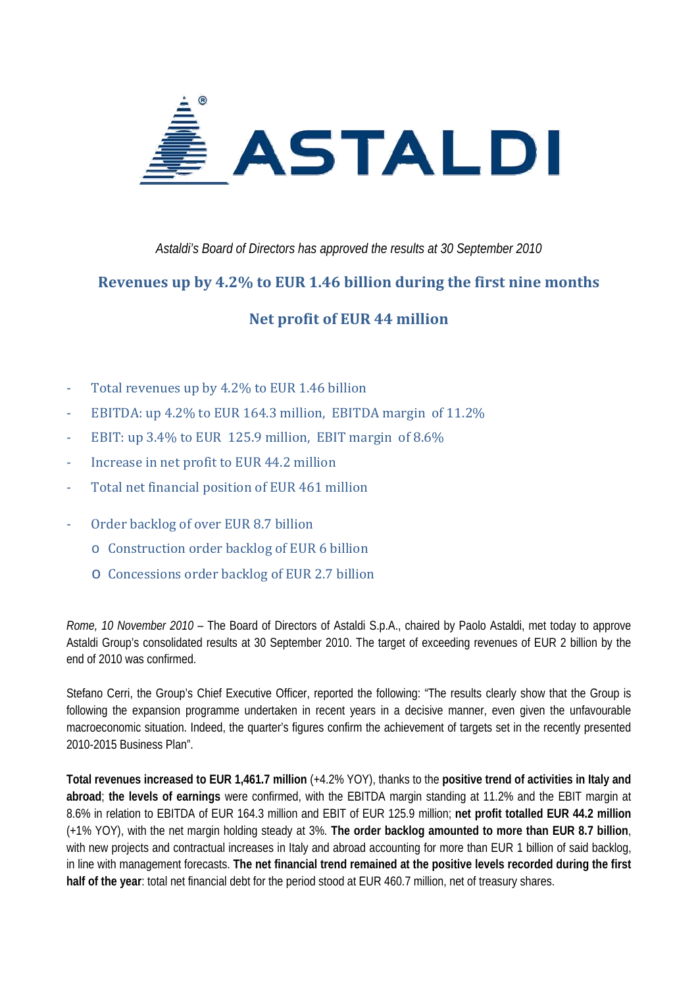

*Astaldi's Board of Directors has approved the results at 30 September 2010* 

### **Revenues up by 4.2% to EUR 1.46 billion during the first nine months**

## **Net profit of EUR 44 million**

- ‐ Total revenues up by 4.2% to EUR 1.46 billion
- ‐ EBITDA: up 4.2% to EUR 164.3 million, EBITDA margin of 11.2%
- EBIT: up 3.4% to EUR 125.9 million, EBIT margin of  $8.6\%$
- ‐ Increase in net profit to EUR 44.2 million
- ‐ Total net financial position of EUR 461 million
- ‐ Order backlog of over EUR 8.7 billion
	- o Construction order backlog of EUR 6 billion
	- o Concessions order backlog of EUR 2.7 billion

*Rome, 10 November 2010 –* The Board of Directors of Astaldi S.p.A., chaired by Paolo Astaldi, met today to approve Astaldi Group's consolidated results at 30 September 2010. The target of exceeding revenues of EUR 2 billion by the end of 2010 was confirmed.

Stefano Cerri, the Group's Chief Executive Officer, reported the following: "The results clearly show that the Group is following the expansion programme undertaken in recent years in a decisive manner, even given the unfavourable macroeconomic situation. Indeed, the quarter's figures confirm the achievement of targets set in the recently presented 2010-2015 Business Plan".

**Total revenues increased to EUR 1,461.7 million** (+4.2% YOY), thanks to the **positive trend of activities in Italy and abroad**; **the levels of earnings** were confirmed, with the EBITDA margin standing at 11.2% and the EBIT margin at 8.6% in relation to EBITDA of EUR 164.3 million and EBIT of EUR 125.9 million; **net profit totalled EUR 44.2 million**  (+1% YOY), with the net margin holding steady at 3%. **The order backlog amounted to more than EUR 8.7 billion**, with new projects and contractual increases in Italy and abroad accounting for more than EUR 1 billion of said backlog, in line with management forecasts. **The net financial trend remained at the positive levels recorded during the first half of the year**: total net financial debt for the period stood at EUR 460.7 million, net of treasury shares.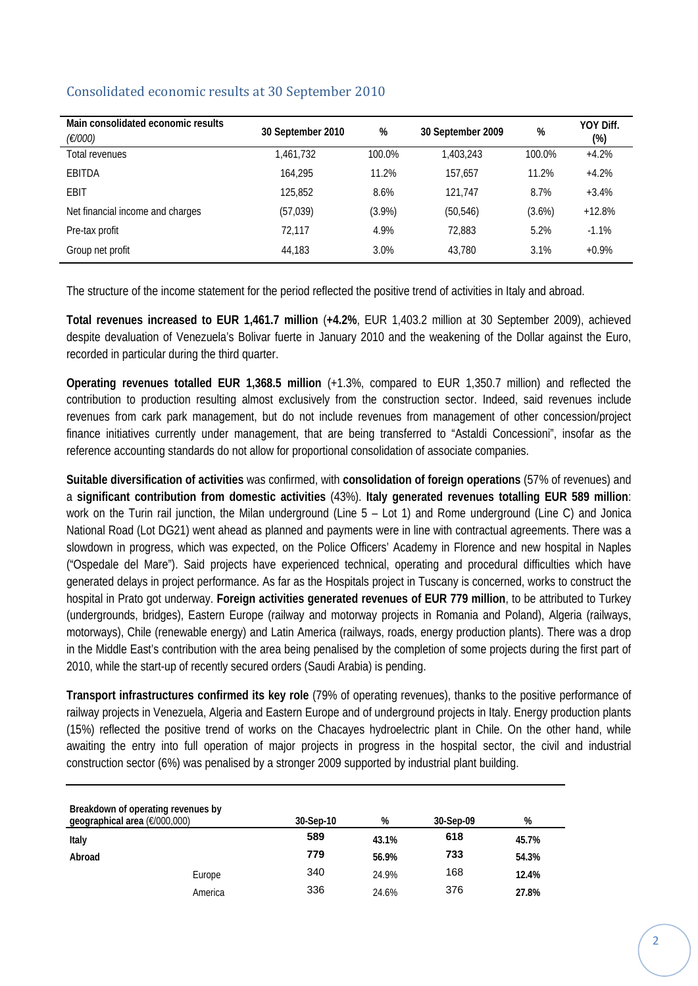| Main consolidated economic results<br>(€/000) | 30 September 2010 | %         | 30 September 2009 | %         | YOY Diff.<br>(%) |
|-----------------------------------------------|-------------------|-----------|-------------------|-----------|------------------|
| Total revenues                                | 1.461.732         | 100.0%    | 1.403.243         | 100.0%    | $+4.2%$          |
| EBITDA                                        | 164.295           | 11.2%     | 157.657           | 11.2%     | $+4.2%$          |
| <b>EBIT</b>                                   | 125,852           | 8.6%      | 121.747           | 8.7%      | $+3.4%$          |
| Net financial income and charges              | (57, 039)         | $(3.9\%)$ | (50, 546)         | $(3.6\%)$ | $+12.8%$         |
| Pre-tax profit                                | 72.117            | 4.9%      | 72.883            | 5.2%      | $-1.1%$          |
| Group net profit                              | 44,183            | 3.0%      | 43,780            | 3.1%      | $+0.9%$          |

#### Consolidated economic results at 30 September 2010

The structure of the income statement for the period reflected the positive trend of activities in Italy and abroad.

**Total revenues increased to EUR 1,461.7 million** (**+4.2%**, EUR 1,403.2 million at 30 September 2009), achieved despite devaluation of Venezuela's Bolivar fuerte in January 2010 and the weakening of the Dollar against the Euro, recorded in particular during the third quarter.

**Operating revenues totalled EUR 1,368.5 million** (+1.3%, compared to EUR 1,350.7 million) and reflected the contribution to production resulting almost exclusively from the construction sector. Indeed, said revenues include revenues from cark park management, but do not include revenues from management of other concession/project finance initiatives currently under management, that are being transferred to "Astaldi Concessioni", insofar as the reference accounting standards do not allow for proportional consolidation of associate companies.

**Suitable diversification of activities** was confirmed, with **consolidation of foreign operations** (57% of revenues) and a **significant contribution from domestic activities** (43%). **Italy generated revenues totalling EUR 589 million**: work on the Turin rail junction, the Milan underground (Line 5 – Lot 1) and Rome underground (Line C) and Jonica National Road (Lot DG21) went ahead as planned and payments were in line with contractual agreements. There was a slowdown in progress, which was expected, on the Police Officers' Academy in Florence and new hospital in Naples ("Ospedale del Mare"). Said projects have experienced technical, operating and procedural difficulties which have generated delays in project performance. As far as the Hospitals project in Tuscany is concerned, works to construct the hospital in Prato got underway. **Foreign activities generated revenues of EUR 779 million**, to be attributed to Turkey (undergrounds, bridges), Eastern Europe (railway and motorway projects in Romania and Poland), Algeria (railways, motorways), Chile (renewable energy) and Latin America (railways, roads, energy production plants). There was a drop in the Middle East's contribution with the area being penalised by the completion of some projects during the first part of 2010, while the start-up of recently secured orders (Saudi Arabia) is pending.

**Transport infrastructures confirmed its key role** (79% of operating revenues), thanks to the positive performance of railway projects in Venezuela, Algeria and Eastern Europe and of underground projects in Italy. Energy production plants (15%) reflected the positive trend of works on the Chacayes hydroelectric plant in Chile. On the other hand, while awaiting the entry into full operation of major projects in progress in the hospital sector, the civil and industrial construction sector (6%) was penalised by a stronger 2009 supported by industrial plant building.

| Breakdown of operating revenues by<br>geographical area (€/000,000) |         | 30-Sep-10 | %     | 30-Sep-09 | %     |
|---------------------------------------------------------------------|---------|-----------|-------|-----------|-------|
| Italy                                                               |         | 589       | 43.1% | 618       | 45.7% |
| Abroad                                                              |         | 779       | 56.9% | 733       | 54.3% |
|                                                                     | Europe  | 340       | 24.9% | 168       | 12.4% |
|                                                                     | America | 336       | 24.6% | 376       | 27.8% |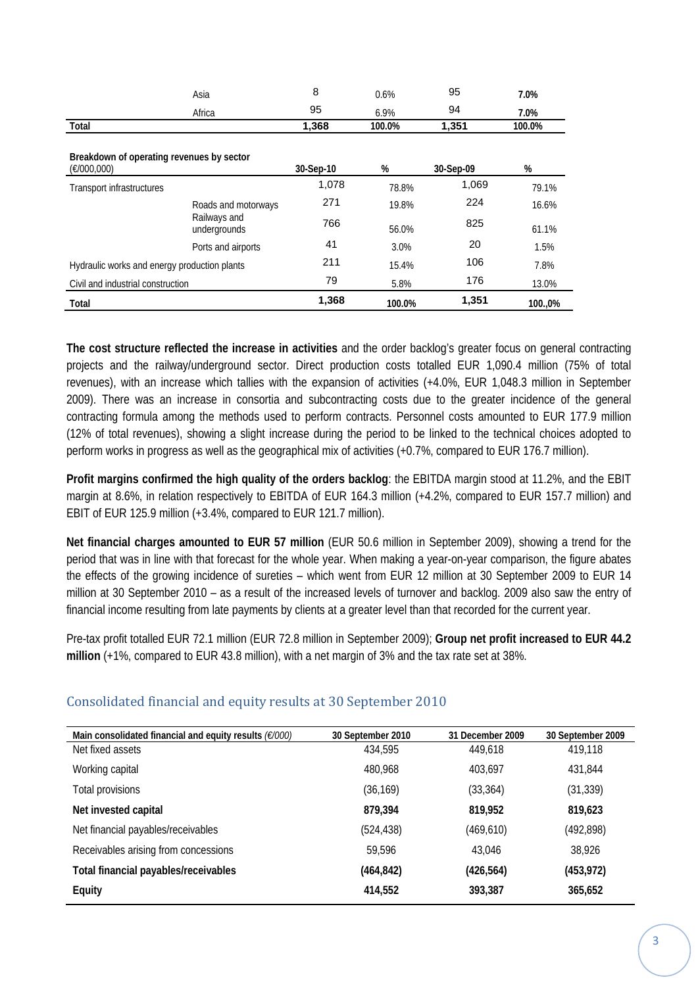|                                                          | Asia                         | 8         | 0.6%   | 95        | 7.0%   |
|----------------------------------------------------------|------------------------------|-----------|--------|-----------|--------|
|                                                          | Africa                       | 95        | 6.9%   | 94        | 7.0%   |
| Total                                                    |                              | 1,368     | 100.0% | 1,351     | 100.0% |
| Breakdown of operating revenues by sector<br>(E/000,000) |                              | 30-Sep-10 | %      | 30-Sep-09 | $\%$   |
| Transport infrastructures                                |                              | 1,078     | 78.8%  | 1,069     | 79.1%  |
|                                                          | Roads and motorways          | 271       | 19.8%  | 224       | 16.6%  |
|                                                          | Railways and<br>undergrounds | 766       | 56.0%  | 825       | 61.1%  |
|                                                          | Ports and airports           | 41        | 3.0%   | 20        | 1.5%   |
| Hydraulic works and energy production plants             |                              | 211       | 15.4%  | 106       | 7.8%   |
| Civil and industrial construction                        |                              | 79        | 5.8%   | 176       | 13.0%  |
| Total                                                    |                              | 1,368     | 100.0% | 1,351     | 100.0% |

**The cost structure reflected the increase in activities** and the order backlog's greater focus on general contracting projects and the railway/underground sector. Direct production costs totalled EUR 1,090.4 million (75% of total revenues), with an increase which tallies with the expansion of activities (+4.0%, EUR 1,048.3 million in September 2009). There was an increase in consortia and subcontracting costs due to the greater incidence of the general contracting formula among the methods used to perform contracts. Personnel costs amounted to EUR 177.9 million (12% of total revenues), showing a slight increase during the period to be linked to the technical choices adopted to perform works in progress as well as the geographical mix of activities (+0.7%, compared to EUR 176.7 million).

**Profit margins confirmed the high quality of the orders backlog**: the EBITDA margin stood at 11.2%, and the EBIT margin at 8.6%, in relation respectively to EBITDA of EUR 164.3 million (+4.2%, compared to EUR 157.7 million) and EBIT of EUR 125.9 million (+3.4%, compared to EUR 121.7 million).

**Net financial charges amounted to EUR 57 million** (EUR 50.6 million in September 2009), showing a trend for the period that was in line with that forecast for the whole year. When making a year-on-year comparison, the figure abates the effects of the growing incidence of sureties – which went from EUR 12 million at 30 September 2009 to EUR 14 million at 30 September 2010 – as a result of the increased levels of turnover and backlog. 2009 also saw the entry of financial income resulting from late payments by clients at a greater level than that recorded for the current year.

Pre-tax profit totalled EUR 72.1 million (EUR 72.8 million in September 2009); **Group net profit increased to EUR 44.2 million** (+1%, compared to EUR 43.8 million), with a net margin of 3% and the tax rate set at 38%.

| Main consolidated financial and equity results $(E/000)$ | 30 September 2010 | 31 December 2009 | 30 September 2009 |
|----------------------------------------------------------|-------------------|------------------|-------------------|
| Net fixed assets                                         | 434,595           | 449.618          | 419,118           |
| Working capital                                          | 480,968           | 403.697          | 431.844           |
| Total provisions                                         | (36, 169)         | (33, 364)        | (31, 339)         |
| Net invested capital                                     | 879.394           | 819.952          | 819,623           |
| Net financial payables/receivables                       | (524, 438)        | (469, 610)       | (492, 898)        |
| Receivables arising from concessions                     | 59,596            | 43.046           | 38,926            |
| Total financial payables/receivables                     | (464, 842)        | (426, 564)       | (453, 972)        |
| <b>Equity</b>                                            | 414,552           | 393.387          | 365,652           |

#### Consolidated financial and equity results at 30 September 2010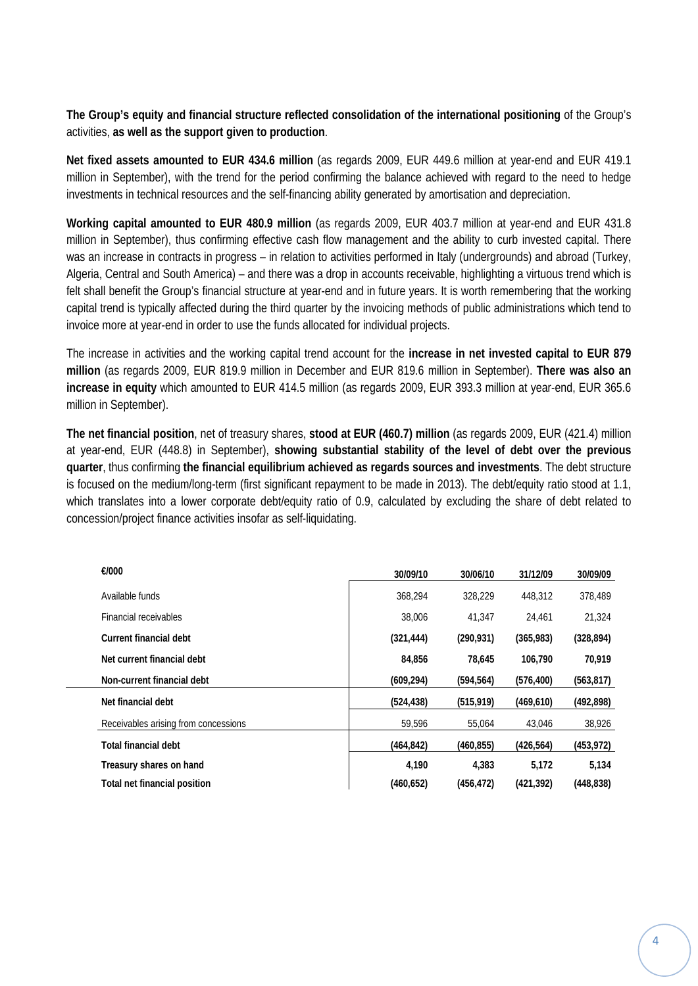**The Group's equity and financial structure reflected consolidation of the international positioning** of the Group's activities, **as well as the support given to production**.

**Net fixed assets amounted to EUR 434.6 million** (as regards 2009, EUR 449.6 million at year-end and EUR 419.1 million in September), with the trend for the period confirming the balance achieved with regard to the need to hedge investments in technical resources and the self-financing ability generated by amortisation and depreciation.

**Working capital amounted to EUR 480.9 million** (as regards 2009, EUR 403.7 million at year-end and EUR 431.8 million in September), thus confirming effective cash flow management and the ability to curb invested capital. There was an increase in contracts in progress – in relation to activities performed in Italy (undergrounds) and abroad (Turkey, Algeria, Central and South America) – and there was a drop in accounts receivable, highlighting a virtuous trend which is felt shall benefit the Group's financial structure at year-end and in future years. It is worth remembering that the working capital trend is typically affected during the third quarter by the invoicing methods of public administrations which tend to invoice more at year-end in order to use the funds allocated for individual projects.

The increase in activities and the working capital trend account for the **increase in net invested capital to EUR 879 million** (as regards 2009, EUR 819.9 million in December and EUR 819.6 million in September). **There was also an increase in equity** which amounted to EUR 414.5 million (as regards 2009, EUR 393.3 million at year-end, EUR 365.6 million in September).

**The net financial position**, net of treasury shares, **stood at EUR (460.7) million** (as regards 2009, EUR (421.4) million at year-end, EUR (448.8) in September), **showing substantial stability of the level of debt over the previous quarter**, thus confirming **the financial equilibrium achieved as regards sources and investments**. The debt structure is focused on the medium/long-term (first significant repayment to be made in 2013). The debt/equity ratio stood at 1.1, which translates into a lower corporate debt/equity ratio of 0.9, calculated by excluding the share of debt related to concession/project finance activities insofar as self-liquidating.

| €/000                                | 30/09/10   | 30/06/10   | 31/12/09   | 30/09/09   |
|--------------------------------------|------------|------------|------------|------------|
| Available funds                      | 368.294    | 328.229    | 448,312    | 378,489    |
| Financial receivables                | 38,006     | 41.347     | 24,461     | 21,324     |
| Current financial debt               | (321, 444) | (290, 931) | (365,983)  | (328, 894) |
| Net current financial debt           | 84.856     | 78.645     | 106.790    | 70,919     |
| Non-current financial debt           | (609, 294) | (594, 564) | (576, 400) | (563, 817) |
| Net financial debt                   | (524, 438) | (515, 919) | (469, 610) | (492, 898) |
| Receivables arising from concessions | 59,596     | 55,064     | 43,046     | 38,926     |
| <b>Total financial debt</b>          | (464, 842) | (460, 855) | (426, 564) | (453, 972) |
| Treasury shares on hand              | 4,190      | 4,383      | 5,172      | 5,134      |
| Total net financial position         | (460, 652) | (456, 472) | (421, 392) | (448, 838) |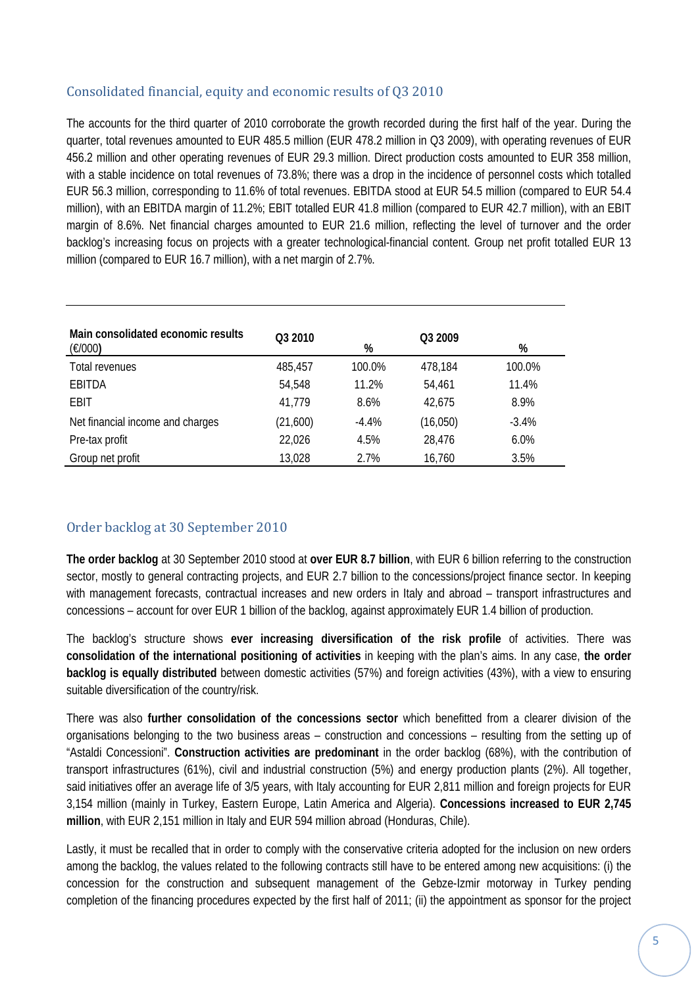#### Consolidated financial, equity and economic results of Q3 2010

The accounts for the third quarter of 2010 corroborate the growth recorded during the first half of the year. During the quarter, total revenues amounted to EUR 485.5 million (EUR 478.2 million in Q3 2009), with operating revenues of EUR 456.2 million and other operating revenues of EUR 29.3 million. Direct production costs amounted to EUR 358 million, with a stable incidence on total revenues of 73.8%; there was a drop in the incidence of personnel costs which totalled EUR 56.3 million, corresponding to 11.6% of total revenues. EBITDA stood at EUR 54.5 million (compared to EUR 54.4 million), with an EBITDA margin of 11.2%; EBIT totalled EUR 41.8 million (compared to EUR 42.7 million), with an EBIT margin of 8.6%. Net financial charges amounted to EUR 21.6 million, reflecting the level of turnover and the order backlog's increasing focus on projects with a greater technological-financial content. Group net profit totalled EUR 13 million (compared to EUR 16.7 million), with a net margin of 2.7%.

| Main consolidated economic results<br>(E/000) | Q3 2010  | %       | Q3 2009  | %       |
|-----------------------------------------------|----------|---------|----------|---------|
| Total revenues                                | 485,457  | 100.0%  | 478,184  | 100.0%  |
| <b>EBITDA</b>                                 | 54,548   | 11.2%   | 54,461   | 11.4%   |
| EBIT                                          | 41,779   | 8.6%    | 42,675   | 8.9%    |
| Net financial income and charges              | (21,600) | $-4.4%$ | (16,050) | $-3.4%$ |
| Pre-tax profit                                | 22,026   | 4.5%    | 28,476   | 6.0%    |
| Group net profit                              | 13,028   | 2.7%    | 16,760   | 3.5%    |

#### Order backlog at 30 September 2010

**The order backlog** at 30 September 2010 stood at **over EUR 8.7 billion**, with EUR 6 billion referring to the construction sector, mostly to general contracting projects, and EUR 2.7 billion to the concessions/project finance sector. In keeping with management forecasts, contractual increases and new orders in Italy and abroad – transport infrastructures and concessions – account for over EUR 1 billion of the backlog, against approximately EUR 1.4 billion of production.

The backlog's structure shows **ever increasing diversification of the risk profile** of activities. There was **consolidation of the international positioning of activities** in keeping with the plan's aims. In any case, **the order backlog is equally distributed** between domestic activities (57%) and foreign activities (43%), with a view to ensuring suitable diversification of the country/risk.

There was also **further consolidation of the concessions sector** which benefitted from a clearer division of the organisations belonging to the two business areas – construction and concessions – resulting from the setting up of "Astaldi Concessioni". **Construction activities are predominant** in the order backlog (68%), with the contribution of transport infrastructures (61%), civil and industrial construction (5%) and energy production plants (2%). All together, said initiatives offer an average life of 3/5 years, with Italy accounting for EUR 2,811 million and foreign projects for EUR 3,154 million (mainly in Turkey, Eastern Europe, Latin America and Algeria). **Concessions increased to EUR 2,745 million**, with EUR 2,151 million in Italy and EUR 594 million abroad (Honduras, Chile).

Lastly, it must be recalled that in order to comply with the conservative criteria adopted for the inclusion on new orders among the backlog, the values related to the following contracts still have to be entered among new acquisitions: (i) the concession for the construction and subsequent management of the Gebze-Izmir motorway in Turkey pending completion of the financing procedures expected by the first half of 2011; (ii) the appointment as sponsor for the project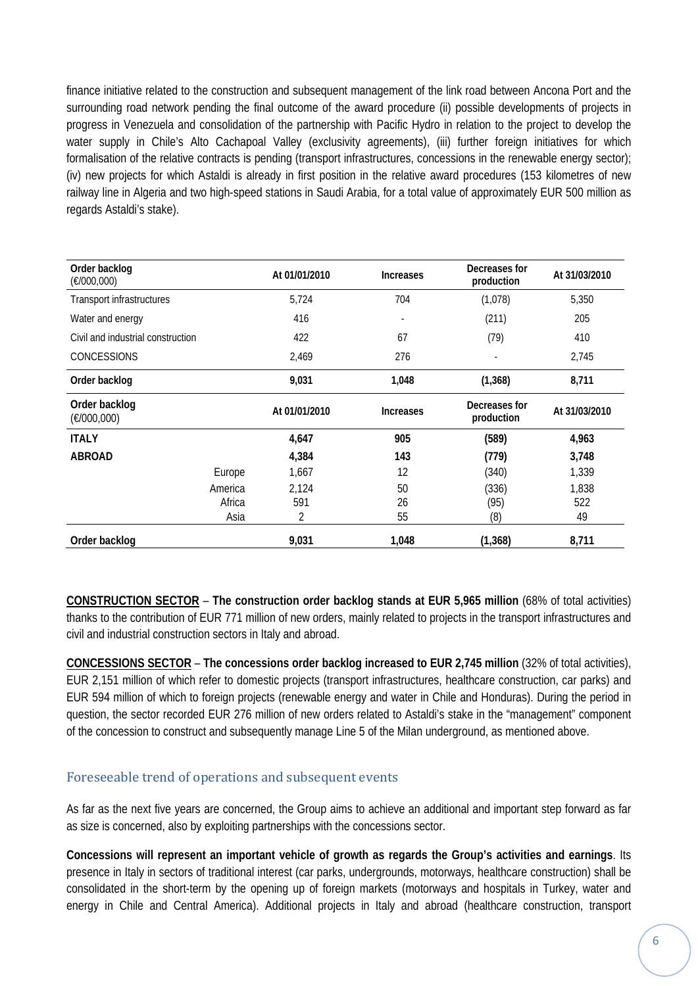finance initiative related to the construction and subsequent management of the link road between Ancona Port and the surrounding road network pending the final outcome of the award procedure (ii) possible developments of projects in progress in Venezuela and consolidation of the partnership with Pacific Hydro in relation to the project to develop the water supply in Chile's Alto Cachapoal Valley (exclusivity agreements), (iii) further foreign initiatives for which formalisation of the relative contracts is pending (transport infrastructures, concessions in the renewable energy sector); (iv) new projects for which Astaldi is already in first position in the relative award procedures (153 kilometres of new railway line in Algeria and two high-speed stations in Saudi Arabia, for a total value of approximately EUR 500 million as regards Astaldi's stake).

| Order backlog<br>(E/000,000)      |         | At 01/01/2010 | <b>Increases</b> | Decreases for<br>production | At 31/03/2010 |
|-----------------------------------|---------|---------------|------------------|-----------------------------|---------------|
| Transport infrastructures         |         | 5,724         | 704              | (1,078)                     | 5,350         |
| Water and energy                  |         | 416           |                  | (211)                       | 205           |
| Civil and industrial construction |         | 422           | 67               | (79)                        | 410           |
| <b>CONCESSIONS</b>                |         | 2,469         | 276              |                             | 2,745         |
| Order backlog                     |         | 9,031         | 1,048            | (1, 368)                    | 8,711         |
| Order backlog<br>(E/000,000)      |         | At 01/01/2010 | <b>Increases</b> | Decreases for<br>production | At 31/03/2010 |
| <b>ITALY</b>                      |         | 4,647         | 905              | (589)                       | 4,963         |
| <b>ABROAD</b>                     |         | 4,384         | 143              | (779)                       | 3,748         |
|                                   | Europe  | 1,667         | 12               | (340)                       | 1,339         |
|                                   | America | 2,124         | 50               | (336)                       | 1,838         |
|                                   | Africa  | 591           | 26               | (95)                        | 522           |
|                                   | Asia    | 2             | 55               | (8)                         | 49            |
| Order backlog                     |         | 9,031         | 1,048            | (1, 368)                    | 8,711         |

**CONSTRUCTION SECTOR** – **The construction order backlog stands at EUR 5,965 million** (68% of total activities) thanks to the contribution of EUR 771 million of new orders, mainly related to projects in the transport infrastructures and civil and industrial construction sectors in Italy and abroad.

**CONCESSIONS SECTOR** – **The concessions order backlog increased to EUR 2,745 million** (32% of total activities), EUR 2,151 million of which refer to domestic projects (transport infrastructures, healthcare construction, car parks) and EUR 594 million of which to foreign projects (renewable energy and water in Chile and Honduras). During the period in question, the sector recorded EUR 276 million of new orders related to Astaldi's stake in the "management" component of the concession to construct and subsequently manage Line 5 of the Milan underground, as mentioned above.

#### Foreseeable trend of operations and subsequent events

As far as the next five years are concerned, the Group aims to achieve an additional and important step forward as far as size is concerned, also by exploiting partnerships with the concessions sector.

**Concessions will represent an important vehicle of growth as regards the Group's activities and earnings**. Its presence in Italy in sectors of traditional interest (car parks, undergrounds, motorways, healthcare construction) shall be consolidated in the short-term by the opening up of foreign markets (motorways and hospitals in Turkey, water and energy in Chile and Central America). Additional projects in Italy and abroad (healthcare construction, transport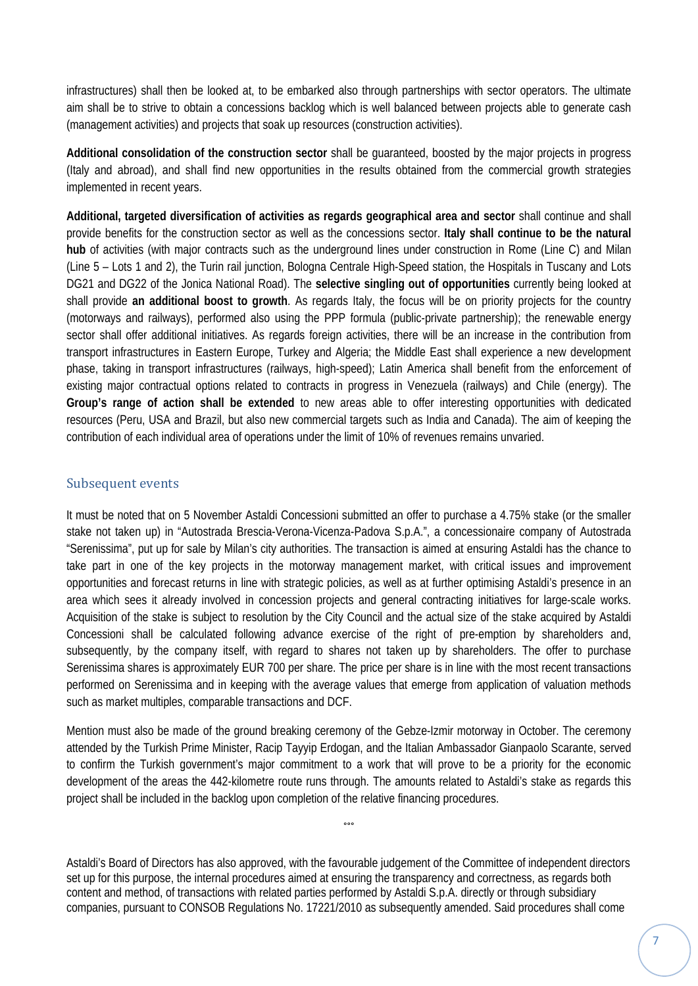infrastructures) shall then be looked at, to be embarked also through partnerships with sector operators. The ultimate aim shall be to strive to obtain a concessions backlog which is well balanced between projects able to generate cash (management activities) and projects that soak up resources (construction activities).

**Additional consolidation of the construction sector** shall be guaranteed, boosted by the major projects in progress (Italy and abroad), and shall find new opportunities in the results obtained from the commercial growth strategies implemented in recent years.

**Additional, targeted diversification of activities as regards geographical area and sector** shall continue and shall provide benefits for the construction sector as well as the concessions sector. **Italy shall continue to be the natural hub** of activities (with major contracts such as the underground lines under construction in Rome (Line C) and Milan (Line 5 – Lots 1 and 2), the Turin rail junction, Bologna Centrale High-Speed station, the Hospitals in Tuscany and Lots DG21 and DG22 of the Jonica National Road). The **selective singling out of opportunities** currently being looked at shall provide **an additional boost to growth**. As regards Italy, the focus will be on priority projects for the country (motorways and railways), performed also using the PPP formula (public-private partnership); the renewable energy sector shall offer additional initiatives. As regards foreign activities, there will be an increase in the contribution from transport infrastructures in Eastern Europe, Turkey and Algeria; the Middle East shall experience a new development phase, taking in transport infrastructures (railways, high-speed); Latin America shall benefit from the enforcement of existing major contractual options related to contracts in progress in Venezuela (railways) and Chile (energy). The **Group's range of action shall be extended** to new areas able to offer interesting opportunities with dedicated resources (Peru, USA and Brazil, but also new commercial targets such as India and Canada). The aim of keeping the contribution of each individual area of operations under the limit of 10% of revenues remains unvaried.

#### Subsequent events

It must be noted that on 5 November Astaldi Concessioni submitted an offer to purchase a 4.75% stake (or the smaller stake not taken up) in "Autostrada Brescia-Verona-Vicenza-Padova S.p.A.", a concessionaire company of Autostrada "Serenissima", put up for sale by Milan's city authorities. The transaction is aimed at ensuring Astaldi has the chance to take part in one of the key projects in the motorway management market, with critical issues and improvement opportunities and forecast returns in line with strategic policies, as well as at further optimising Astaldi's presence in an area which sees it already involved in concession projects and general contracting initiatives for large-scale works. Acquisition of the stake is subject to resolution by the City Council and the actual size of the stake acquired by Astaldi Concessioni shall be calculated following advance exercise of the right of pre-emption by shareholders and, subsequently, by the company itself, with regard to shares not taken up by shareholders. The offer to purchase Serenissima shares is approximately EUR 700 per share. The price per share is in line with the most recent transactions performed on Serenissima and in keeping with the average values that emerge from application of valuation methods such as market multiples, comparable transactions and DCF.

Mention must also be made of the ground breaking ceremony of the Gebze-Izmir motorway in October. The ceremony attended by the Turkish Prime Minister, Racip Tayyip Erdogan, and the Italian Ambassador Gianpaolo Scarante, served to confirm the Turkish government's major commitment to a work that will prove to be a priority for the economic development of the areas the 442-kilometre route runs through. The amounts related to Astaldi's stake as regards this project shall be included in the backlog upon completion of the relative financing procedures.

°°°

Astaldi's Board of Directors has also approved, with the favourable judgement of the Committee of independent directors set up for this purpose, the internal procedures aimed at ensuring the transparency and correctness, as regards both content and method, of transactions with related parties performed by Astaldi S.p.A. directly or through subsidiary companies, pursuant to CONSOB Regulations No. 17221/2010 as subsequently amended. Said procedures shall come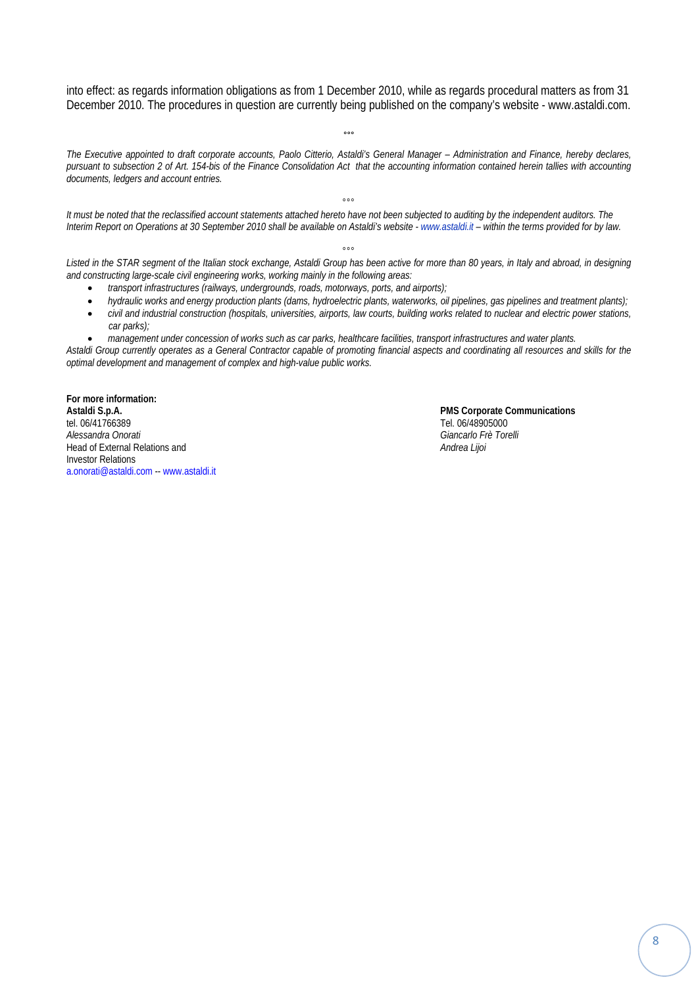into effect: as regards information obligations as from 1 December 2010, while as regards procedural matters as from 31 December 2010. The procedures in question are currently being published on the company's website - www.astaldi.com.

°°°

*The Executive appointed to draft corporate accounts, Paolo Citterio, Astaldi's General Manager – Administration and Finance, hereby declares, pursuant to subsection 2 of Art. 154-bis of the Finance Consolidation Act that the accounting information contained herein tallies with accounting documents, ledgers and account entries.* 

 $000$ *It must be noted that the reclassified account statements attached hereto have not been subjected to auditing by the independent auditors. The Interim Report on Operations at 30 September 2010 shall be available on Astaldi's website - www.astaldi.it – within the terms provided for by law.* 

 $000$ *Listed in the STAR segment of the Italian stock exchange, Astaldi Group has been active for more than 80 years, in Italy and abroad, in designing and constructing large-scale civil engineering works, working mainly in the following areas:* 

- *transport infrastructures (railways, undergrounds, roads, motorways, ports, and airports);*
- *hydraulic works and energy production plants (dams, hydroelectric plants, waterworks, oil pipelines, gas pipelines and treatment plants);*
- *civil and industrial construction (hospitals, universities, airports, law courts, building works related to nuclear and electric power stations, car parks);*

• *management under concession of works such as car parks, healthcare facilities, transport infrastructures and water plants. Astaldi Group currently operates as a General Contractor capable of promoting financial aspects and coordinating all resources and skills for the optimal development and management of complex and high-value public works.* 

**For more information:**  Astaldi S.p.A. **PMS Corporate Communications**<br>
tel. 06/41766389 tel. 06/41766389<br>Alessandra Onorati **Head of External Relations and** Investor Relations a.onorati@astaldi.com -- www.astaldi.it

*Alessandra Onorati Giancarlo Frè Torelli*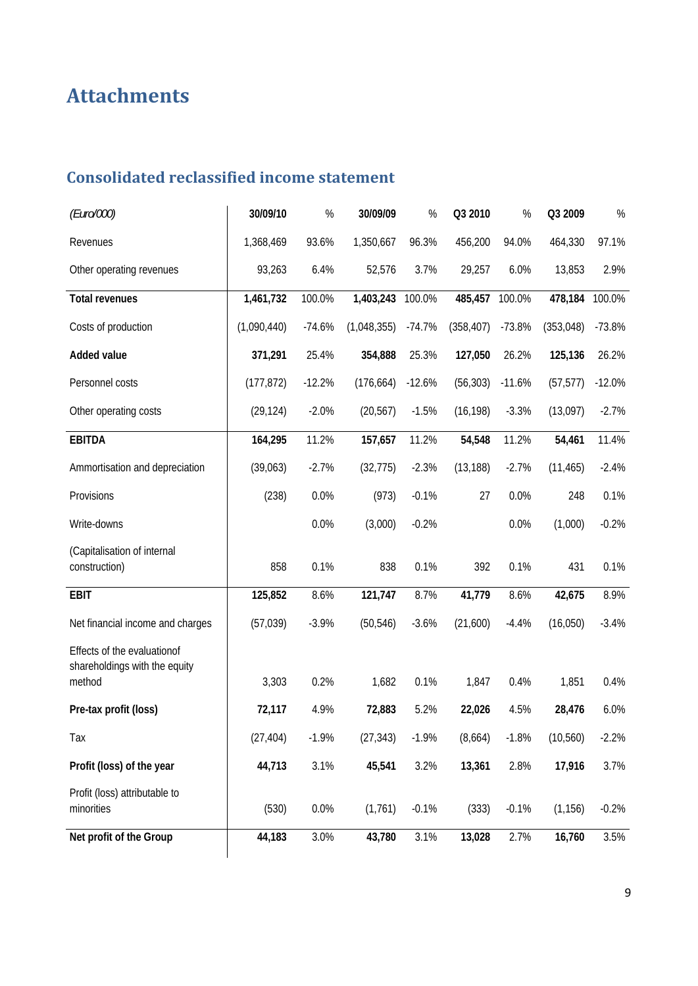# **Attachments**

# **Consolidated reclassified income statement**

| (Euro/000)                                                   | 30/09/10    | $\%$     | 30/09/09    | $\%$     | Q3 2010    | $\%$     | Q3 2009    | $\%$     |
|--------------------------------------------------------------|-------------|----------|-------------|----------|------------|----------|------------|----------|
| Revenues                                                     | 1,368,469   | 93.6%    | 1,350,667   | 96.3%    | 456,200    | 94.0%    | 464,330    | 97.1%    |
| Other operating revenues                                     | 93,263      | 6.4%     | 52,576      | 3.7%     | 29,257     | 6.0%     | 13,853     | 2.9%     |
| <b>Total revenues</b>                                        | 1,461,732   | 100.0%   | 1,403,243   | 100.0%   | 485,457    | 100.0%   | 478,184    | 100.0%   |
| Costs of production                                          | (1,090,440) | $-74.6%$ | (1,048,355) | $-74.7%$ | (358, 407) | $-73.8%$ | (353, 048) | $-73.8%$ |
| <b>Added value</b>                                           | 371,291     | 25.4%    | 354,888     | 25.3%    | 127,050    | 26.2%    | 125,136    | 26.2%    |
| Personnel costs                                              | (177, 872)  | $-12.2%$ | (176, 664)  | $-12.6%$ | (56, 303)  | $-11.6%$ | (57, 577)  | $-12.0%$ |
| Other operating costs                                        | (29, 124)   | $-2.0%$  | (20, 567)   | $-1.5%$  | (16, 198)  | $-3.3%$  | (13,097)   | $-2.7%$  |
| <b>EBITDA</b>                                                | 164,295     | 11.2%    | 157,657     | 11.2%    | 54,548     | 11.2%    | 54,461     | 11.4%    |
| Ammortisation and depreciation                               | (39,063)    | $-2.7%$  | (32, 775)   | $-2.3%$  | (13, 188)  | $-2.7%$  | (11, 465)  | $-2.4%$  |
| Provisions                                                   | (238)       | 0.0%     | (973)       | $-0.1%$  | 27         | 0.0%     | 248        | 0.1%     |
| Write-downs                                                  |             | 0.0%     | (3,000)     | $-0.2%$  |            | 0.0%     | (1,000)    | $-0.2%$  |
| (Capitalisation of internal<br>construction)                 | 858         | 0.1%     | 838         | 0.1%     | 392        | 0.1%     | 431        | 0.1%     |
| <b>EBIT</b>                                                  | 125,852     | 8.6%     | 121,747     | 8.7%     | 41,779     | 8.6%     | 42,675     | 8.9%     |
| Net financial income and charges                             | (57, 039)   | $-3.9%$  | (50, 546)   | $-3.6%$  | (21,600)   | $-4.4%$  | (16,050)   | $-3.4%$  |
| Effects of the evaluationof<br>shareholdings with the equity |             |          |             |          |            |          |            |          |
| method                                                       | 3,303       | 0.2%     | 1,682       | 0.1%     | 1,847      | 0.4%     | 1,851      | 0.4%     |
| Pre-tax profit (loss)                                        | 72,117      | 4.9%     | 72,883      | 5.2%     | 22,026     | 4.5%     | 28,476     | 6.0%     |
| Tax                                                          | (27, 404)   | $-1.9%$  | (27, 343)   | $-1.9%$  | (8,664)    | $-1.8%$  | (10, 560)  | $-2.2%$  |
| Profit (loss) of the year                                    | 44,713      | 3.1%     | 45,541      | 3.2%     | 13,361     | 2.8%     | 17,916     | 3.7%     |
| Profit (loss) attributable to<br>minorities                  | (530)       | 0.0%     | (1,761)     | $-0.1%$  | (333)      | $-0.1%$  | (1, 156)   | $-0.2%$  |
| Net profit of the Group                                      | 44,183      | 3.0%     | 43,780      | 3.1%     | 13,028     | 2.7%     | 16,760     | 3.5%     |